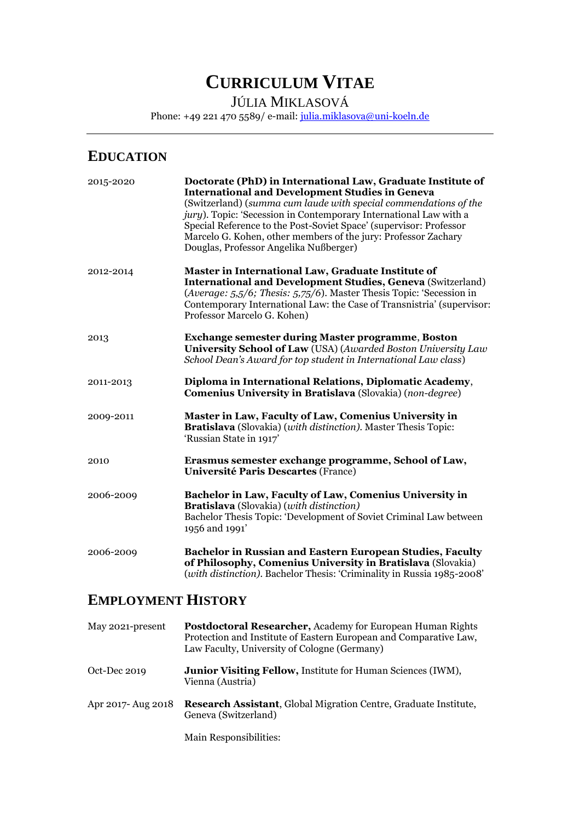# **CURRICULUM VITAE**

JÚLIA MIKLASOVÁ

Phone: +49 221 470 5589/ e-mail: [julia.miklasova@uni-koeln.de](mailto:julia.miklasova@graduateinstitute.ch)

## **EDUCATION**

| 2015-2020 | Doctorate (PhD) in International Law, Graduate Institute of<br><b>International and Development Studies in Geneva</b><br>(Switzerland) (summa cum laude with special commendations of the<br>jury). Topic: 'Secession in Contemporary International Law with a<br>Special Reference to the Post-Soviet Space' (supervisor: Professor<br>Marcelo G. Kohen, other members of the jury: Professor Zachary<br>Douglas, Professor Angelika Nußberger) |
|-----------|--------------------------------------------------------------------------------------------------------------------------------------------------------------------------------------------------------------------------------------------------------------------------------------------------------------------------------------------------------------------------------------------------------------------------------------------------|
| 2012-2014 | Master in International Law, Graduate Institute of<br><b>International and Development Studies, Geneva (Switzerland)</b><br>(Average: 5,5/6; Thesis: 5,75/6). Master Thesis Topic: 'Secession in<br>Contemporary International Law: the Case of Transnistria' (supervisor:<br>Professor Marcelo G. Kohen)                                                                                                                                        |
| 2013      | <b>Exchange semester during Master programme, Boston</b><br>University School of Law (USA) (Awarded Boston University Law<br>School Dean's Award for top student in International Law class)                                                                                                                                                                                                                                                     |
| 2011-2013 | Diploma in International Relations, Diplomatic Academy,<br>Comenius University in Bratislava (Slovakia) (non-degree)                                                                                                                                                                                                                                                                                                                             |
| 2009-2011 | Master in Law, Faculty of Law, Comenius University in<br><b>Bratislava</b> (Slovakia) (with distinction). Master Thesis Topic:<br>'Russian State in 1917'                                                                                                                                                                                                                                                                                        |
| 2010      | Erasmus semester exchange programme, School of Law,<br><b>Université Paris Descartes (France)</b>                                                                                                                                                                                                                                                                                                                                                |
| 2006-2009 | Bachelor in Law, Faculty of Law, Comenius University in<br>Bratislava (Slovakia) (with distinction)<br>Bachelor Thesis Topic: 'Development of Soviet Criminal Law between<br>1956 and 1991'                                                                                                                                                                                                                                                      |
| 2006-2009 | Bachelor in Russian and Eastern European Studies, Faculty<br>of Philosophy, Comenius University in Bratislava (Slovakia)<br>(with distinction). Bachelor Thesis: 'Criminality in Russia 1985-2008'                                                                                                                                                                                                                                               |

# **EMPLOYMENT HISTORY**

| May 2021-present   | <b>Postdoctoral Researcher, Academy for European Human Rights</b><br>Protection and Institute of Eastern European and Comparative Law,<br>Law Faculty, University of Cologne (Germany) |
|--------------------|----------------------------------------------------------------------------------------------------------------------------------------------------------------------------------------|
| Oct-Dec $2019$     | <b>Junior Visiting Fellow, Institute for Human Sciences (IWM),</b><br>Vienna (Austria)                                                                                                 |
| Apr 2017- Aug 2018 | Research Assistant, Global Migration Centre, Graduate Institute,<br>Geneva (Switzerland)                                                                                               |
|                    |                                                                                                                                                                                        |

Main Responsibilities: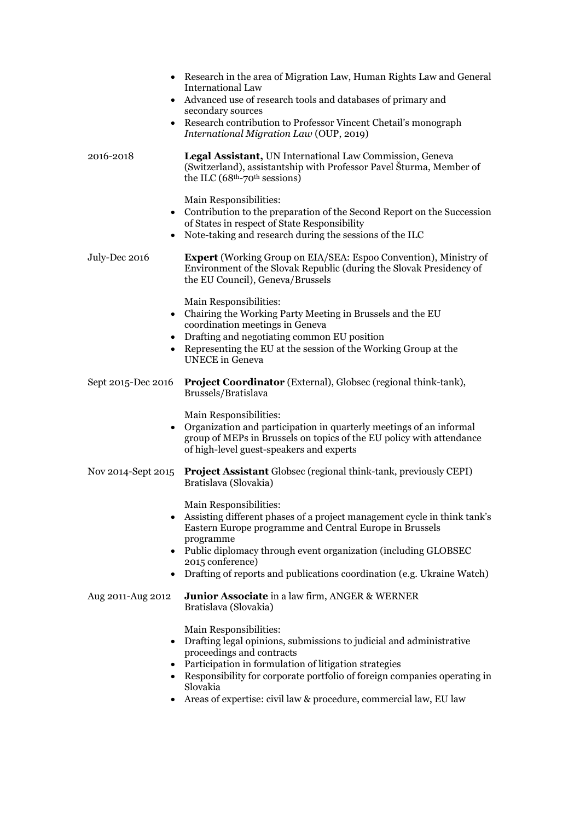| $\bullet$<br>$\bullet$ | Research in the area of Migration Law, Human Rights Law and General<br>International Law<br>Advanced use of research tools and databases of primary and<br>secondary sources<br>Research contribution to Professor Vincent Chetail's monograph<br>International Migration Law (OUP, 2019)                                                        |
|------------------------|--------------------------------------------------------------------------------------------------------------------------------------------------------------------------------------------------------------------------------------------------------------------------------------------------------------------------------------------------|
| 2016-2018              | Legal Assistant, UN International Law Commission, Geneva<br>(Switzerland), assistantship with Professor Pavel Šturma, Member of<br>the ILC $(68th-70th sessions)$                                                                                                                                                                                |
| $\bullet$              | Main Responsibilities:<br>• Contribution to the preparation of the Second Report on the Succession<br>of States in respect of State Responsibility<br>Note-taking and research during the sessions of the ILC                                                                                                                                    |
| July-Dec 2016          | <b>Expert</b> (Working Group on EIA/SEA: Espoo Convention), Ministry of<br>Environment of the Slovak Republic (during the Slovak Presidency of<br>the EU Council), Geneva/Brussels                                                                                                                                                               |
|                        | Main Responsibilities:<br>• Chairing the Working Party Meeting in Brussels and the EU<br>coordination meetings in Geneva<br>Drafting and negotiating common EU position<br>Representing the EU at the session of the Working Group at the<br><b>UNECE</b> in Geneva                                                                              |
| Sept 2015-Dec 2016     | <b>Project Coordinator</b> (External), Globsec (regional think-tank),<br>Brussels/Bratislava                                                                                                                                                                                                                                                     |
|                        | Main Responsibilities:<br>Organization and participation in quarterly meetings of an informal<br>group of MEPs in Brussels on topics of the EU policy with attendance<br>of high-level guest-speakers and experts                                                                                                                                |
| Nov 2014-Sept 2015     | <b>Project Assistant</b> Globsec (regional think-tank, previously CEPI)<br>Bratislava (Slovakia)                                                                                                                                                                                                                                                 |
|                        | Main Responsibilities:<br>Assisting different phases of a project management cycle in think tank's<br>Eastern Europe programme and Central Europe in Brussels<br>programme<br>• Public diplomacy through event organization (including GLOBSEC<br>2015 conference)<br>Drafting of reports and publications coordination (e.g. Ukraine Watch)     |
| Aug 2011-Aug 2012      | Junior Associate in a law firm, ANGER & WERNER<br>Bratislava (Slovakia)                                                                                                                                                                                                                                                                          |
|                        | Main Responsibilities:<br>Drafting legal opinions, submissions to judicial and administrative<br>proceedings and contracts<br>Participation in formulation of litigation strategies<br>Responsibility for corporate portfolio of foreign companies operating in<br>Slovakia<br>Areas of expertise: civil law & procedure, commercial law, EU law |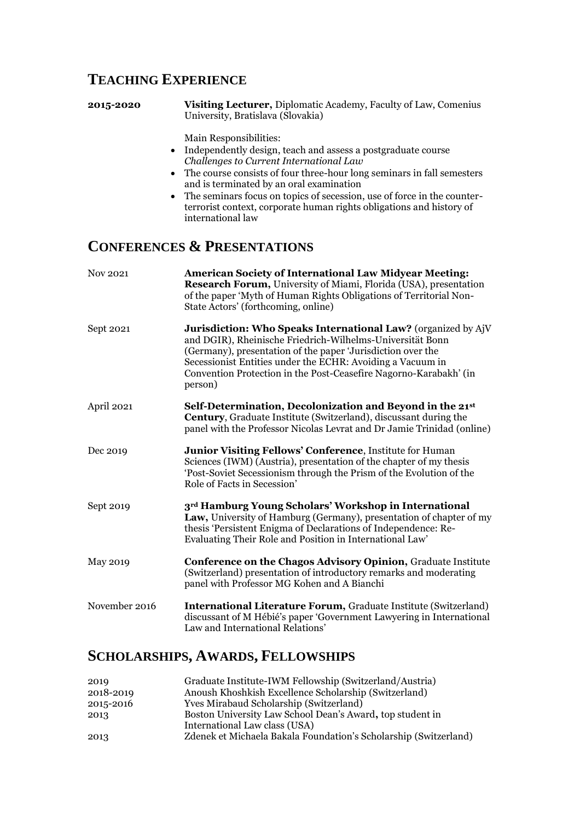# **TEACHING EXPERIENCE**

**2015-2020 Visiting Lecturer,** Diplomatic Academy, Faculty of Law, Comenius University, Bratislava (Slovakia)

Main Responsibilities:

- Independently design, teach and assess a postgraduate course *Challenges to Current International Law*
- The course consists of four three-hour long seminars in fall semesters and is terminated by an oral examination
- The seminars focus on topics of secession, use of force in the counterterrorist context, corporate human rights obligations and history of international law

# **CONFERENCES & PRESENTATIONS**

| Nov 2021      | <b>American Society of International Law Midyear Meeting:</b><br>Research Forum, University of Miami, Florida (USA), presentation<br>of the paper 'Myth of Human Rights Obligations of Territorial Non-<br>State Actors' (forthcoming, online)                                                                                          |
|---------------|-----------------------------------------------------------------------------------------------------------------------------------------------------------------------------------------------------------------------------------------------------------------------------------------------------------------------------------------|
| Sept 2021     | Jurisdiction: Who Speaks International Law? (organized by AjV<br>and DGIR), Rheinische Friedrich-Wilhelms-Universität Bonn<br>(Germany), presentation of the paper 'Jurisdiction over the<br>Secessionist Entities under the ECHR: Avoiding a Vacuum in<br>Convention Protection in the Post-Ceasefire Nagorno-Karabakh' (in<br>person) |
| April 2021    | Self-Determination, Decolonization and Beyond in the 21st<br><b>Century</b> , Graduate Institute (Switzerland), discussant during the<br>panel with the Professor Nicolas Levrat and Dr Jamie Trinidad (online)                                                                                                                         |
| Dec 2019      | Junior Visiting Fellows' Conference, Institute for Human<br>Sciences (IWM) (Austria), presentation of the chapter of my thesis<br>'Post-Soviet Secessionism through the Prism of the Evolution of the<br>Role of Facts in Secession'                                                                                                    |
| Sept 2019     | 3rd Hamburg Young Scholars' Workshop in International<br>Law, University of Hamburg (Germany), presentation of chapter of my<br>thesis 'Persistent Enigma of Declarations of Independence: Re-<br>Evaluating Their Role and Position in International Law'                                                                              |
| May 2019      | <b>Conference on the Chagos Advisory Opinion, Graduate Institute</b><br>(Switzerland) presentation of introductory remarks and moderating<br>panel with Professor MG Kohen and A Bianchi                                                                                                                                                |
| November 2016 | <b>International Literature Forum, Graduate Institute (Switzerland)</b><br>discussant of M Hébié's paper 'Government Lawyering in International<br>Law and International Relations'                                                                                                                                                     |

## **SCHOLARSHIPS, AWARDS, FELLOWSHIPS**

| 2019      | Graduate Institute-IWM Fellowship (Switzerland/Austria)          |
|-----------|------------------------------------------------------------------|
| 2018-2019 | Anoush Khoshkish Excellence Scholarship (Switzerland)            |
| 2015-2016 | <b>Yves Mirabaud Scholarship (Switzerland)</b>                   |
| 2013      | Boston University Law School Dean's Award, top student in        |
|           | International Law class (USA)                                    |
| 2013      | Zdenek et Michaela Bakala Foundation's Scholarship (Switzerland) |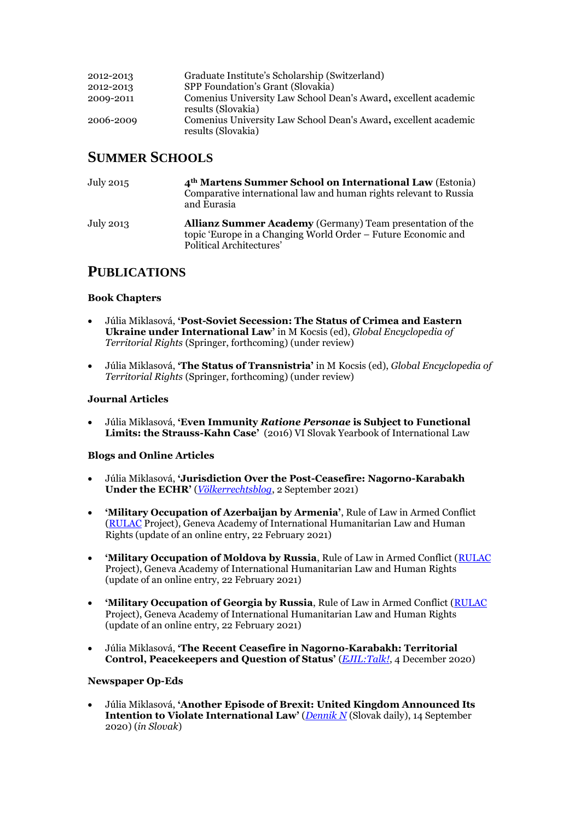| 2012-2013 | Graduate Institute's Scholarship (Switzerland)                                        |
|-----------|---------------------------------------------------------------------------------------|
| 2012-2013 | SPP Foundation's Grant (Slovakia)                                                     |
| 2009-2011 | Comenius University Law School Dean's Award, excellent academic<br>results (Slovakia) |
| 2006-2009 | Comenius University Law School Dean's Award, excellent academic<br>results (Slovakia) |

## **SUMMER SCHOOLS**

| July 2015 | 4 <sup>th</sup> Martens Summer School on International Law (Estonia)<br>Comparative international law and human rights relevant to Russia<br>and Eurasia      |
|-----------|---------------------------------------------------------------------------------------------------------------------------------------------------------------|
| July 2013 | <b>Allianz Summer Academy</b> (Germany) Team presentation of the<br>topic 'Europe in a Changing World Order – Future Economic and<br>Political Architectures' |

## **PUBLICATIONS**

## **Book Chapters**

- Júlia Miklasová, **'Post-Soviet Secession: The Status of Crimea and Eastern Ukraine under International Law'** in M Kocsis (ed), *Global Encyclopedia of Territorial Rights* (Springer, forthcoming) (under review)
- Júlia Miklasová, **'The Status of Transnistria'** in M Kocsis (ed), *Global Encyclopedia of Territorial Rights* (Springer, forthcoming) (under review)

## **Journal Articles**

• Júlia Miklasová, **'Even Immunity** *Ratione Personae* **is Subject to Functional Limits: the Strauss-Kahn Case'** (2016) VI Slovak Yearbook of International Law

## **Blogs and Online Articles**

- Júlia Miklasová, **'Jurisdiction Over the Post-Ceasefire: Nagorno-Karabakh Under the ECHR'** (*[Völkerrechtsblog](https://voelkerrechtsblog.org/jurisdiction-over-the-post-ceasefire/)*, 2 September 2021)
- **'Military Occupation of Azerbaijan by Armenia'**, Rule of Law in Armed Conflict [\(RULAC](Military%20Occupation%20of%20Azerbaijan%20by%20Armenia%E2%80%99) Project), Geneva Academy of International Humanitarian Law and Human Rights (update of an online entry, 22 February 2021)
- **'Military Occupation of Moldova by Russia**, Rule of Law in Armed Conflict [\(RULAC](Military%20Occupation%20of%20Moldova%20by%20Russia,%20Rule%20of%20Law%20in%20Armed%20Conflict) Project), Geneva Academy of International Humanitarian Law and Human Rights (update of an online entry, 22 February 2021)
- **'Military Occupation of Georgia by Russia**, Rule of Law in Armed Conflict [\(RULAC](https://www.rulac.org/browse/conflicts/military-occupation-of-georgia-by-russia) Project), Geneva Academy of International Humanitarian Law and Human Rights (update of an online entry, 22 February 2021)
- Júlia Miklasová, **'The Recent Ceasefire in Nagorno-Karabakh: Territorial Control, Peacekeepers and Question of Status'** (*[EJIL:Talk!](https://www.ejiltalk.org/the-recent-ceasefire-in-nagorno-karabakh-territorial-control-peacekeepers-and-unanswered-question-of-status/)*, 4 December 2020)

## **Newspaper Op-Eds**

• Júlia Miklasová, **'Another Episode of Brexit: United Kingdom Announced Its Intention to Violate International Law'** (*[Dennik N](https://dennikn.sk/2039334/dalsia-epizoda-brexitu-spojene-kralovstvo-ohlasilo-zamer-porusit-medzinarodne-pravo/)* (Slovak daily), 14 September 2020) (*in Slovak*)